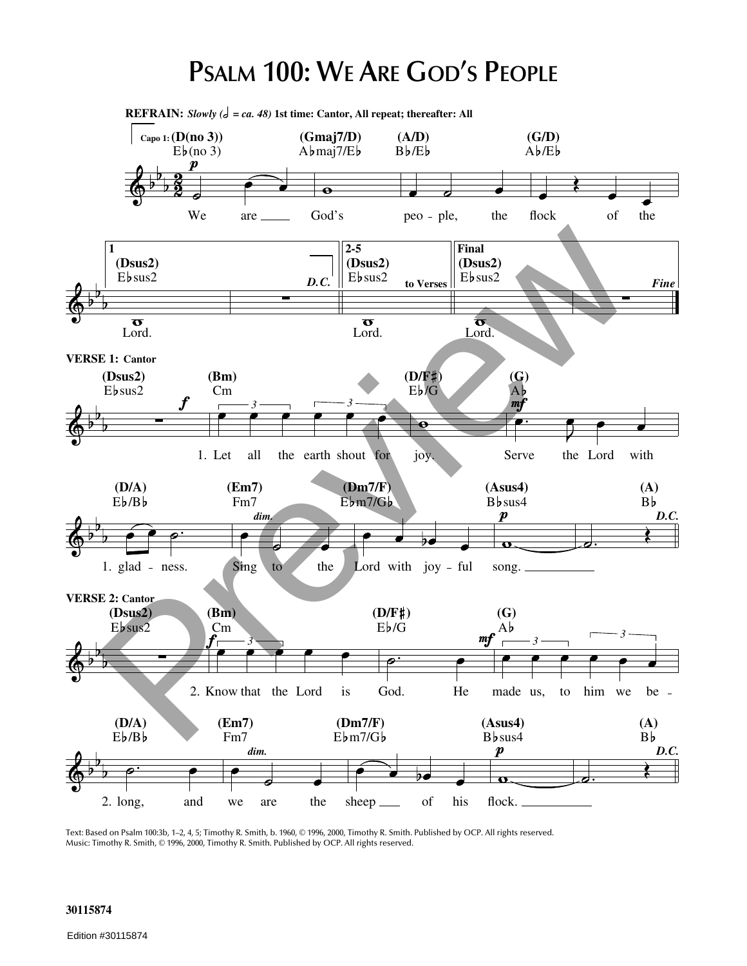## **PSALM 100: WE ARE GOD'S PEOPLE**



Text: Based on Psalm 100:3b, 1–2, 4, 5; Timothy R. Smith, b. 1960, © 1996, 2000, Timothy R. Smith. Published by OCP. All rights reserved. Music: Timothy R. Smith, © 1996, 2000, Timothy R. Smith. Published by OCP. All rights reserved.